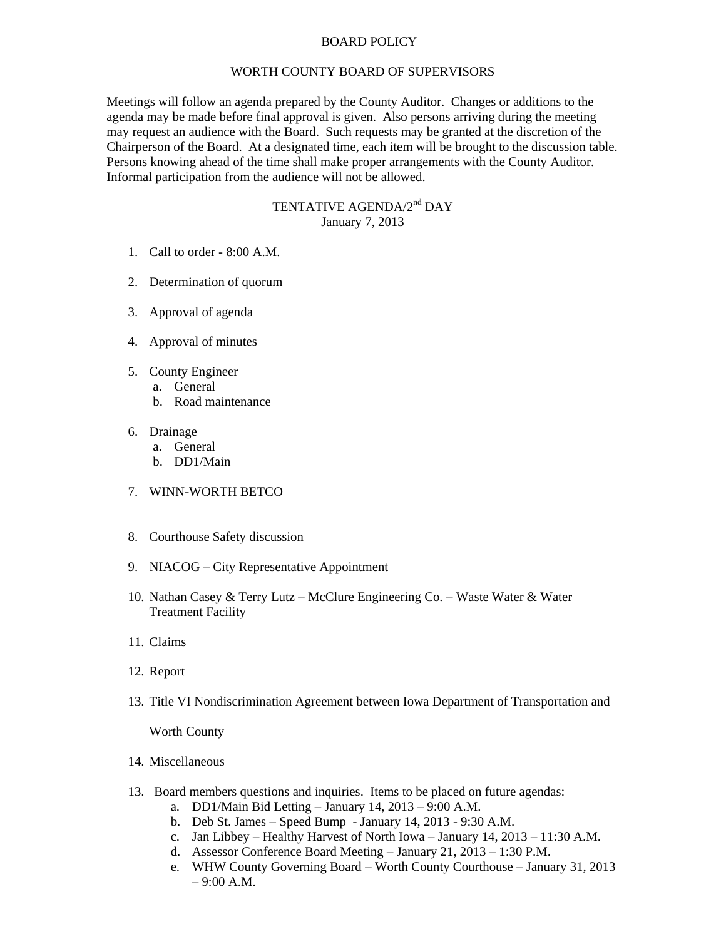## BOARD POLICY

## WORTH COUNTY BOARD OF SUPERVISORS

Meetings will follow an agenda prepared by the County Auditor. Changes or additions to the agenda may be made before final approval is given. Also persons arriving during the meeting may request an audience with the Board. Such requests may be granted at the discretion of the Chairperson of the Board. At a designated time, each item will be brought to the discussion table. Persons knowing ahead of the time shall make proper arrangements with the County Auditor. Informal participation from the audience will not be allowed.

## TENTATIVE AGENDA/2<sup>nd</sup> DAY January 7, 2013

- 1. Call to order 8:00 A.M.
- 2. Determination of quorum
- 3. Approval of agenda
- 4. Approval of minutes
- 5. County Engineer
	- a. General
	- b. Road maintenance
- 6. Drainage
	- a. General
	- b. DD1/Main
- 7. WINN-WORTH BETCO
- 8. Courthouse Safety discussion
- 9. NIACOG City Representative Appointment
- 10. Nathan Casey & Terry Lutz McClure Engineering Co. Waste Water & Water Treatment Facility
- 11. Claims
- 12. Report
- 13. Title VI Nondiscrimination Agreement between Iowa Department of Transportation and

Worth County

- 14. Miscellaneous
- 13. Board members questions and inquiries. Items to be placed on future agendas:
	- a. DD1/Main Bid Letting January 14, 2013 9:00 A.M.
	- b. Deb St. James Speed Bump January 14, 2013 9:30 A.M.
	- c. Jan Libbey Healthy Harvest of North Iowa January 14, 2013 11:30 A.M.
	- d. Assessor Conference Board Meeting January 21, 2013 1:30 P.M.
	- e. WHW County Governing Board Worth County Courthouse January 31, 2013 – 9:00 A.M.